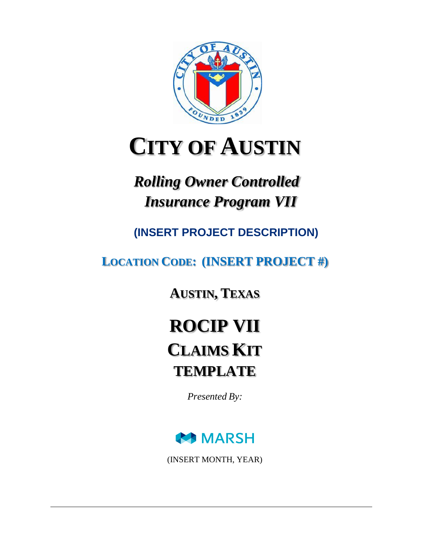

# **CITY OF AUSTIN**

# *Rolling Owner Controlled Insurance Program VII*

**(INSERT PROJECT DESCRIPTION)**

**LOCATION CODE: (INSERT PROJECT #)**

**AUSTIN, TEXAS**

**ROCIP VII CLAIMS KIT TEMPLATE**

*Presented By:*



(INSERT MONTH, YEAR)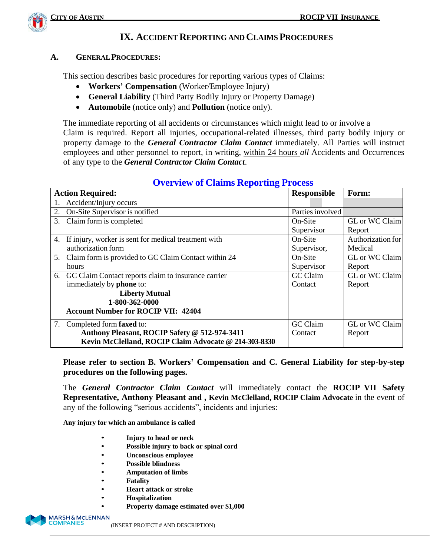

### **IX. ACCIDENTREPORTING AND CLAIMSPROCEDURES**

#### **A. GENERALPROCEDURES:**

This section describes basic procedures for reporting various types of Claims:

- **Workers' Compensation** (Worker/Employee Injury)
- **General Liability** (Third Party Bodily Injury or Property Damage)
- **Automobile** (notice only) and **Pollution** (notice only).

The immediate reporting of all accidents or circumstances which might lead to or involve a Claim is required. Report all injuries, occupational-related illnesses, third party bodily injury or property damage to the *General Contractor Claim Contact* immediately. All Parties will instruct employees and other personnel to report, in writing, within 24 hours *all* Accidents and Occurrences of any type to the *General Contractor Claim Contact*.

|    | <b>Action Required:</b>                                 | <b>Responsible</b> | Form:             |
|----|---------------------------------------------------------|--------------------|-------------------|
|    | 1. Accident/Injury occurs                               |                    |                   |
| 2. | On-Site Supervisor is notified                          | Parties involved   |                   |
| 3. | Claim form is completed                                 | On-Site            | GL or WC Claim    |
|    |                                                         | Supervisor         | Report            |
| 4. | If injury, worker is sent for medical treatment with    | On-Site            | Authorization for |
|    | authorization form                                      | Supervisor,        | Medical           |
|    | 5. Claim form is provided to GC Claim Contact within 24 | On-Site            | GL or WC Claim    |
|    | hours                                                   | Supervisor         | Report            |
|    | 6. GC Claim Contact reports claim to insurance carrier  | GC Claim           | GL or WC Claim    |
|    | immediately by <b>phone</b> to:                         | Contact            | Report            |
|    | <b>Liberty Mutual</b>                                   |                    |                   |
|    | 1-800-362-0000                                          |                    |                   |
|    | <b>Account Number for ROCIP VII: 42404</b>              |                    |                   |
|    | 7. Completed form <b>faxed</b> to:                      | GC Claim           | GL or WC Claim    |
|    | Anthony Pleasant, ROCIP Safety @ 512-974-3411           | Contact            | Report            |
|    | Kevin McClelland, ROCIP Claim Advocate @ 214-303-8330   |                    |                   |

#### **Overview of Claims Reporting Process**

**Please refer to section B. Workers' Compensation and C. General Liability for step-by-step procedures on the following pages.**

The *General Contractor Claim Contact* will immediately contact the **ROCIP VII Safety Representative, Anthony Pleasant and , Kevin McClelland, ROCIP Claim Advocate** in the event of any of the following "serious accidents", incidents and injuries:

**Any injury for which an ambulance is called**

- **Injury to head or neck**
- **Possible injury to back or spinal cord**
- **Unconscious employee**
- **Possible blindness**
- **Amputation of limbs**
- **Fatality**
- **Heart attack or stroke**
- **Hospitalization**
- **Property damage estimated over \$1,000**



(INSERT PROJECT # AND DESCRIPTION)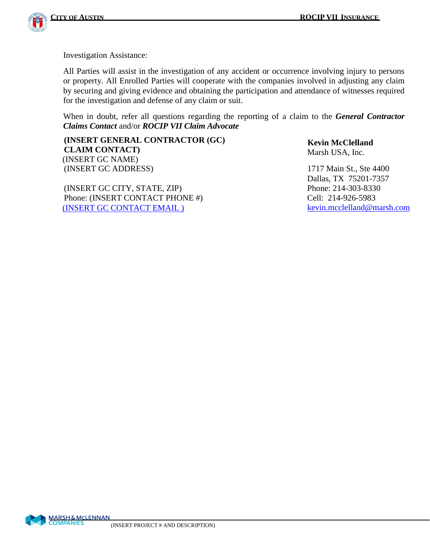

Investigation Assistance:

All Parties will assist in the investigation of any accident or occurrence involving injury to persons or property. All Enrolled Parties will cooperate with the companies involved in adjusting any claim by securing and giving evidence and obtaining the participation and attendance of witnesses required for the investigation and defense of any claim or suit.

When in doubt, refer all questions regarding the reporting of a claim to the *General Contractor Claims Contact* and/or *ROCIP VII Claim Advocate*

**(INSERT GENERAL CONTRACTOR (GC) CLAIM CONTACT)** (INSERT GC NAME) (INSERT GC ADDRESS) 1717 Main St., Ste 4400

(INSERT GC CITY, STATE, ZIP) Phone: 214-303-8330 Phone: (INSERT CONTACT PHONE #) Cell: 214-926-5983 [\(INSERT](mailto:cdowning@austin-ind.com) GC CONTACT EMAIL ) [kevin.mcclelland@marsh.com](mailto:kevin.mcclelland@marsh.com)

 **Kevin McClelland** Marsh USA, Inc.

Dallas, TX 75201-7357

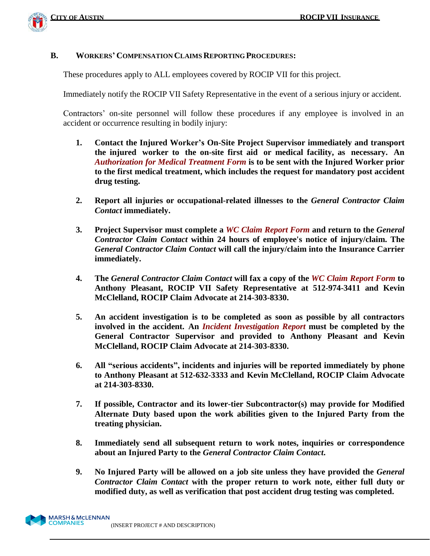

#### **B. WORKERS' COMPENSATION CLAIMS REPORTING PROCEDURES:**

These procedures apply to ALL employees covered by ROCIP VII for this project.

Immediately notify the ROCIP VII Safety Representative in the event of a serious injury or accident.

Contractors' on-site personnel will follow these procedures if any employee is involved in an accident or occurrence resulting in bodily injury:

- **1. Contact the Injured Worker's On-Site Project Supervisor immediately and transport the injured worker to the on-site first aid or medical facility, as necessary. An**  *Authorization for Medical Treatment Form* **is to be sent with the Injured Worker prior to the first medical treatment, which includes the request for mandatory post accident drug testing.**
- **2. Report all injuries or occupational-related illnesses to the** *General Contractor Claim Contact* **immediately.**
- **3. Project Supervisor must complete a** *WC Claim Report Form* **and return to the** *General Contractor Claim Contact* **within 24 hours of employee's notice of injury/claim. The**  *General Contractor Claim Contact* **will call the injury/claim into the Insurance Carrier immediately.**
- **4. The** *General Contractor Claim Contact* **will fax a copy of the** *WC Claim Report Form* **to Anthony Pleasant, ROCIP VII Safety Representative at 512-974-3411 and Kevin McClelland, ROCIP Claim Advocate at 214-303-8330.**
- **5. An accident investigation is to be completed as soon as possible by all contractors involved in the accident. An** *Incident Investigation Report* **must be completed by the General Contractor Supervisor and provided to Anthony Pleasant and Kevin McClelland, ROCIP Claim Advocate at 214-303-8330.**
- **6. All "serious accidents", incidents and injuries will be reported immediately by phone to Anthony Pleasant at 512-632-3333 and Kevin McClelland, ROCIP Claim Advocate at 214-303-8330.**
- **7. If possible, Contractor and its lower-tier Subcontractor(s) may provide for Modified Alternate Duty based upon the work abilities given to the Injured Party from the treating physician.**
- **8. Immediately send all subsequent return to work notes, inquiries or correspondence about an Injured Party to the** *General Contractor Claim Contact***.**
- **9. No Injured Party will be allowed on a job site unless they have provided the** *General Contractor Claim Contact* **with the proper return to work note, either full duty or modified duty, as well as verification that post accident drug testing was completed.**

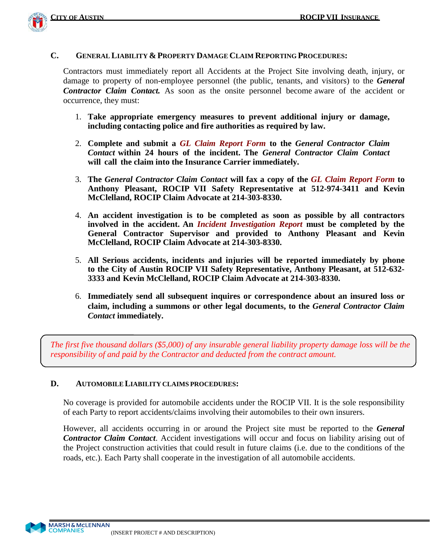

#### **C. GENERAL LIABILITY & PROPERTY DAMAGE CLAIM REPORTING PROCEDURES:**

Contractors must immediately report all Accidents at the Project Site involving death, injury, or damage to property of non-employee personnel (the public, tenants, and visitors) to the *General Contractor Claim Contact.* As soon as the onsite personnel become aware of the accident or occurrence, they must:

- 1. **Take appropriate emergency measures to prevent additional injury or damage, including contacting police and fire authorities as required by law.**
- 2. **Complete and submit a** *GL Claim Report Form* **to the** *General Contractor Claim Contact* **within 24 hours of the incident. The** *General Contractor Claim Contact* **will call the claim into the Insurance Carrier immediately.**
- 3. **The** *General Contractor Claim Contact* **will fax a copy of the** *GL Claim Report Form* **to Anthony Pleasant, ROCIP VII Safety Representative at 512-974-3411 and Kevin McClelland, ROCIP Claim Advocate at 214-303-8330.**
- 4. **An accident investigation is to be completed as soon as possible by all contractors involved in the accident. An** *Incident Investigation Report* **must be completed by the General Contractor Supervisor and provided to Anthony Pleasant and Kevin McClelland, ROCIP Claim Advocate at 214-303-8330.**
- 5. **All Serious accidents, incidents and injuries will be reported immediately by phone to the City of Austin ROCIP VII Safety Representative, Anthony Pleasant, at 512-632- 3333 and Kevin McClelland, ROCIP Claim Advocate at 214-303-8330.**
- 6. **Immediately send all subsequent inquires or correspondence about an insured loss or claim, including a summons or other legal documents, to the** *General Contractor Claim Contact* **immediately.**

The first five thousand dollars  $(\$5,000)$  of any insurable general liability property damage loss will be the *responsibility of and paid by the Contractor and deducted from the contract amount.*

#### **D. AUTOMOBILE LIABILITY CLAIMS PROCEDURES:**

No coverage is provided for automobile accidents under the ROCIP VII. It is the sole responsibility of each Party to report accidents/claims involving their automobiles to their own insurers.

However, all accidents occurring in or around the Project site must be reported to the *General Contractor Claim Contact*. Accident investigations will occur and focus on liability arising out of the Project construction activities that could result in future claims (i.e. due to the conditions of the roads, etc.). Each Party shall cooperate in the investigation of all automobile accidents.

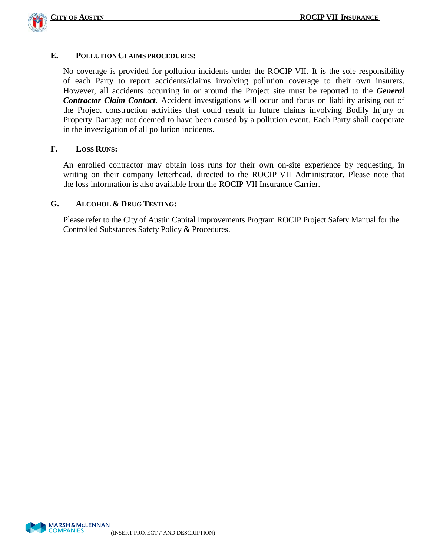

#### **E. POLLUTION CLAIMS PROCEDURES:**

No coverage is provided for pollution incidents under the ROCIP VII. It is the sole responsibility of each Party to report accidents/claims involving pollution coverage to their own insurers. However, all accidents occurring in or around the Project site must be reported to the *General Contractor Claim Contact*. Accident investigations will occur and focus on liability arising out of the Project construction activities that could result in future claims involving Bodily Injury or Property Damage not deemed to have been caused by a pollution event. Each Party shall cooperate in the investigation of all pollution incidents.

#### **F. LOSS RUNS:**

An enrolled contractor may obtain loss runs for their own on-site experience by requesting, in writing on their company letterhead, directed to the ROCIP VII Administrator. Please note that the loss information is also available from the ROCIP VII Insurance Carrier.

#### **G. ALCOHOL & DRUG TESTING:**

Please refer to the City of Austin Capital Improvements Program ROCIP Project Safety Manual for the Controlled Substances Safety Policy & Procedures.

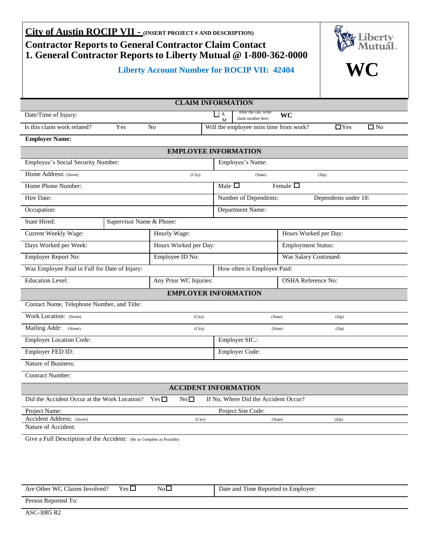| City of Austin ROCIP VII - (INSERT PROJECT # AND DESCRIPTION)<br>Liberty<br><b>Contractor Reports to General Contractor Claim Contact</b><br>1. General Contractor Reports to Liberty Mutual @ 1-800-362-0000 |                        |                                                                    |                           |                            |  |  |  |
|---------------------------------------------------------------------------------------------------------------------------------------------------------------------------------------------------------------|------------------------|--------------------------------------------------------------------|---------------------------|----------------------------|--|--|--|
| <b>WC</b><br><b>Liberty Account Number for ROCIP VII: 42404</b>                                                                                                                                               |                        |                                                                    |                           |                            |  |  |  |
|                                                                                                                                                                                                               |                        | <b>CLAIM INFORMATION</b>                                           |                           |                            |  |  |  |
| Date/Time of Injury:                                                                                                                                                                                          |                        | After the call, write<br>$\overline{A}$<br>claim number here:<br>M | WC                        |                            |  |  |  |
| Is this claim work related?<br>Yes                                                                                                                                                                            | N <sub>0</sub>         | Will the employee miss time from work?                             |                           | $\Box$ Yes<br>$\square$ No |  |  |  |
| <b>Employer Name:</b>                                                                                                                                                                                         |                        |                                                                    |                           |                            |  |  |  |
|                                                                                                                                                                                                               |                        | <b>EMPLOYEE INFORMATION</b>                                        |                           |                            |  |  |  |
| Employee's Social Security Number:                                                                                                                                                                            |                        | Employee's Name:                                                   |                           |                            |  |  |  |
| Home Address: (Street)                                                                                                                                                                                        | (City)                 | (State)                                                            |                           | (Zip)                      |  |  |  |
| Home Phone Number:                                                                                                                                                                                            |                        | Male $\Box$                                                        | Female $\overline{\Box}$  |                            |  |  |  |
| Hire Date:                                                                                                                                                                                                    |                        | Number of Dependents:                                              |                           | Dependents under 18:       |  |  |  |
| Occupation:                                                                                                                                                                                                   |                        | Department Name:                                                   |                           |                            |  |  |  |
| State Hired:<br>Supervisor Name & Phone:                                                                                                                                                                      |                        |                                                                    |                           |                            |  |  |  |
| Current Weekly Wage:                                                                                                                                                                                          | Hourly Wage:           |                                                                    | Hours Worked per Day:     |                            |  |  |  |
| Days Worked per Week:                                                                                                                                                                                         | Hours Worked per Day:  |                                                                    | <b>Employment Status:</b> |                            |  |  |  |
| Employer Report No:                                                                                                                                                                                           | Employee ID No:        |                                                                    | Was Salary Continued:     |                            |  |  |  |
| Was Employee Paid in Full for Date of Injury:                                                                                                                                                                 |                        | How often is Employee Paid:                                        |                           |                            |  |  |  |
| <b>Education Level:</b>                                                                                                                                                                                       | Any Prior WC Injuries: |                                                                    | <b>OSHA Reference No:</b> |                            |  |  |  |
|                                                                                                                                                                                                               |                        | <b>EMPLOYER INFORMATION</b>                                        |                           |                            |  |  |  |
| Contact Name, Telephone Number, and Title:                                                                                                                                                                    |                        |                                                                    |                           |                            |  |  |  |
| Work Location: (Street)                                                                                                                                                                                       | (City)                 |                                                                    | (State)                   | (Zip)                      |  |  |  |
| Mailing Addr: (Street)                                                                                                                                                                                        | (City)                 |                                                                    | (State)                   | (Zip)                      |  |  |  |
| <b>Employer Location Code:</b>                                                                                                                                                                                |                        | Employer SIC.:                                                     |                           |                            |  |  |  |
| Employer FED ID:                                                                                                                                                                                              |                        | Employer Code:                                                     |                           |                            |  |  |  |
| Nature of Business:                                                                                                                                                                                           |                        |                                                                    |                           |                            |  |  |  |
| <b>Contract Number:</b>                                                                                                                                                                                       |                        |                                                                    |                           |                            |  |  |  |
| <b>ACCIDENT INFORMATION</b>                                                                                                                                                                                   |                        |                                                                    |                           |                            |  |  |  |
| Did the Accident Occur at the Work Location? Yes $\square$<br>No <sub>1</sub><br>If No, Where Did the Accident Occur?                                                                                         |                        |                                                                    |                           |                            |  |  |  |
| Project Name:<br>Project Site Code:                                                                                                                                                                           |                        |                                                                    |                           |                            |  |  |  |
| Accident Address: (Street)<br>(City)<br>(State)<br>(Zip)                                                                                                                                                      |                        |                                                                    |                           |                            |  |  |  |
| Nature of Accident:                                                                                                                                                                                           |                        |                                                                    |                           |                            |  |  |  |
| Give a Full Description of the Accident: (Be as Complete as Possible)                                                                                                                                         |                        |                                                                    |                           |                            |  |  |  |

| Are Other WC Claims Involved? | $Yes \Box$ | NoL | Date and Time Reported to Employer: |
|-------------------------------|------------|-----|-------------------------------------|
| Person Reported To:           |            |     |                                     |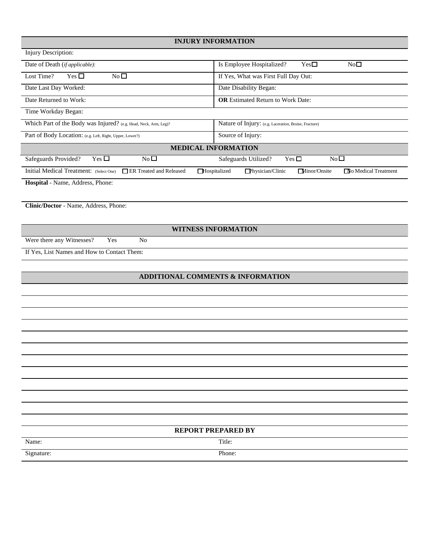#### **INJURY INFORMATION**

| Injury Description:                                                |                                                                                        |
|--------------------------------------------------------------------|----------------------------------------------------------------------------------------|
| Date of Death ( <i>if applicable</i> ):                            | Is Employee Hospitalized?<br>$Yes\square$<br>No <sub>1</sub>                           |
| Lost Time?<br>Yes $\Box$<br>No <sub>1</sub>                        | If Yes, What was First Full Day Out:                                                   |
| Date Last Day Worked:                                              | Date Disability Began:                                                                 |
| Date Returned to Work:                                             | <b>OR</b> Estimated Return to Work Date:                                               |
| Time Workday Began:                                                |                                                                                        |
| Which Part of the Body was Injured? (e.g. Head, Neck, Arm, Leg)?   | Nature of Injury: (e.g. Laceration, Bruise, Fracture)                                  |
| Part of Body Location: (e.g. Left, Right, Upper, Lower?)           | Source of Injury:                                                                      |
|                                                                    | <b>MEDICAL INFORMATION</b>                                                             |
| $N0$ $\square$<br>Yes $\Box$<br>Safeguards Provided?               | $No\square$<br>Yes $\Box$<br>Safeguards Utilized?                                      |
| Initial Medical Treatment: (Select One)<br>ER Treated and Released | $\Box$ Physician/Clinic<br>Minor/Onsite<br>$\Box$ Hospitalized<br>No Medical Treatment |
| <b>Hospital</b> - Name, Address, Phone:                            |                                                                                        |

**Clinic/Doctor** - Name, Address, Phone:

**WITNESS INFORMATION**

Were there any Witnesses? Yes No

If Yes, List Names and How to Contact Them:

#### **ADDITIONAL COMMENTS & INFORMATION**

|            | <b>REPORT PREPARED BY</b> |  |
|------------|---------------------------|--|
| Name:      | Title:                    |  |
| Signature: | Phone:                    |  |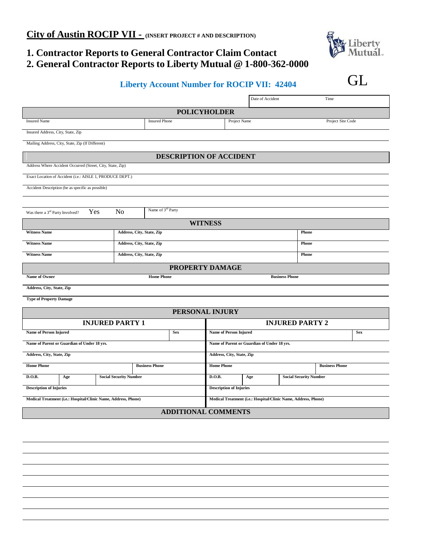## **1. Contractor Reports to General Contractor Claim Contact 2. General Contractor Reports to Liberty Mutual @ 1-800-362-0000**

# **Liberty Account Number for ROCIP VII: 42404 GL**

|                                                                |                               |                                |                                |                                             | Date of Accident                            |                                                                | Time                  |  |
|----------------------------------------------------------------|-------------------------------|--------------------------------|--------------------------------|---------------------------------------------|---------------------------------------------|----------------------------------------------------------------|-----------------------|--|
| <b>POLICYHOLDER</b>                                            |                               |                                |                                |                                             |                                             |                                                                |                       |  |
| <b>Insured Name</b>                                            |                               | <b>Insured Phone</b>           |                                | Project Name                                |                                             |                                                                | Project Site Code     |  |
| Insured Address, City, State, Zip                              |                               |                                |                                |                                             |                                             |                                                                |                       |  |
| Mailing Address, City, State, Zip (If Different)               |                               |                                |                                |                                             |                                             |                                                                |                       |  |
|                                                                |                               | <b>DESCRIPTION OF ACCIDENT</b> |                                |                                             |                                             |                                                                |                       |  |
| Address Where Accident Occurred (Street, City, State, Zip)     |                               |                                |                                |                                             |                                             |                                                                |                       |  |
| Exact Location of Accident (i.e.: AISLE 1, PRODUCE DEPT.)      |                               |                                |                                |                                             |                                             |                                                                |                       |  |
| Accident Description (be as specific as possible)              |                               |                                |                                |                                             |                                             |                                                                |                       |  |
|                                                                |                               |                                |                                |                                             |                                             |                                                                |                       |  |
| Yes<br>Was there a 3 <sup>rd</sup> Party Involved?             | N <sub>o</sub>                | Name of 3 <sup>rd</sup> Party  |                                |                                             |                                             |                                                                |                       |  |
|                                                                |                               |                                | <b>WITNESS</b>                 |                                             |                                             |                                                                |                       |  |
| <b>Witness Name</b>                                            | Address, City, State, Zip     |                                |                                |                                             |                                             | Phone                                                          |                       |  |
| <b>Witness Name</b>                                            | Address, City, State, Zip     |                                |                                |                                             |                                             | Phone                                                          |                       |  |
| <b>Witness Name</b>                                            | Address, City, State, Zip     |                                |                                |                                             |                                             | Phone                                                          |                       |  |
|                                                                |                               |                                | PROPERTY DAMAGE                |                                             |                                             |                                                                |                       |  |
| Name of Owner                                                  |                               | <b>Home Phone</b>              |                                |                                             |                                             | <b>Business Phone</b>                                          |                       |  |
| Address, City, State, Zip                                      |                               |                                |                                |                                             |                                             |                                                                |                       |  |
| <b>Type of Property Damage</b>                                 |                               |                                |                                |                                             |                                             |                                                                |                       |  |
|                                                                |                               |                                | PERSONAL INJURY                |                                             |                                             |                                                                |                       |  |
|                                                                | <b>INJURED PARTY 1</b>        |                                |                                |                                             |                                             | <b>INJURED PARTY 2</b>                                         |                       |  |
| <b>Name of Person Injured</b>                                  |                               | <b>Sex</b>                     |                                | <b>Name of Person Injured</b><br><b>Sex</b> |                                             |                                                                |                       |  |
| Name of Parent or Guardian of Under 18 yrs.                    |                               |                                |                                |                                             | Name of Parent or Guardian of Under 18 yrs. |                                                                |                       |  |
| Address, City, State, Zip                                      |                               |                                | Address, City, State, Zip      |                                             |                                             |                                                                |                       |  |
| <b>Home Phone</b>                                              |                               | <b>Business Phone</b>          | <b>Home Phone</b>              |                                             |                                             |                                                                | <b>Business Phone</b> |  |
| D.O.B.<br>Age                                                  | <b>Social Security Number</b> |                                | D.O.B.                         |                                             | Age                                         | <b>Social Security Number</b>                                  |                       |  |
| <b>Description of Injuries</b>                                 |                               |                                | <b>Description of Injuries</b> |                                             |                                             |                                                                |                       |  |
| Medical Treatment (i.e.: Hospital/Clinic Name, Address, Phone) |                               |                                |                                |                                             |                                             | Medical Treatment (i.e.: Hospital/Clinic Name, Address, Phone) |                       |  |
| <b>ADDITIONAL COMMENTS</b>                                     |                               |                                |                                |                                             |                                             |                                                                |                       |  |
|                                                                |                               |                                |                                |                                             |                                             |                                                                |                       |  |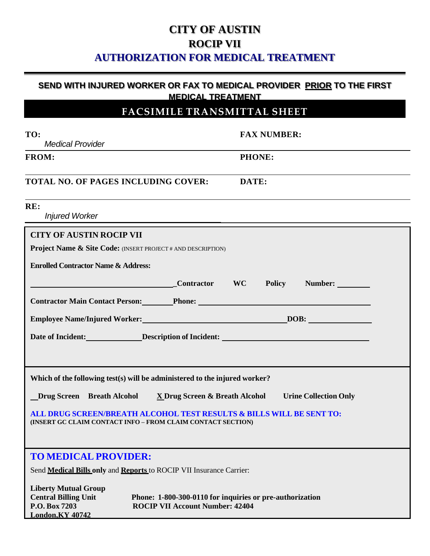# **CITY OF AUSTIN ROCIP VII AUTHORIZATION FOR MEDICAL TREATMENT**

#### **SEND WITH INJURED WORKER OR FAX TO MEDICAL PROVIDER PRIOR TO THE FIRST MEDICAL TREATMENT**

### **FACSIMILE TRANSMITTAL SHEET**

| TO:<br><b>Medical Provider</b>                                                                                                                                                                        | <b>FAX NUMBER:</b> |
|-------------------------------------------------------------------------------------------------------------------------------------------------------------------------------------------------------|--------------------|
| <b>FROM:</b>                                                                                                                                                                                          | <b>PHONE:</b>      |
| TOTAL NO. OF PAGES INCLUDING COVER:                                                                                                                                                                   | DATE:              |
| RE:<br><b>Injured Worker</b>                                                                                                                                                                          |                    |
| <b>CITY OF AUSTIN ROCIP VII</b>                                                                                                                                                                       |                    |
| <b>Project Name &amp; Site Code:</b> (INSERT PROJECT # AND DESCRIPTION)                                                                                                                               |                    |
| <b>Enrolled Contractor Name &amp; Address:</b>                                                                                                                                                        |                    |
| Contractor WC Policy Number:                                                                                                                                                                          |                    |
| <b>Contractor Main Contact Person: Phone: Phone:</b>                                                                                                                                                  |                    |
| Employee Name/Injured Worker: DOB: DOB:                                                                                                                                                               |                    |
| Date of Incident: Description of Incident: New York 1, 2014                                                                                                                                           |                    |
|                                                                                                                                                                                                       |                    |
|                                                                                                                                                                                                       |                    |
| Which of the following test(s) will be administered to the injured worker?                                                                                                                            |                    |
| <b>Drug Screen</b> Breath Alcohol X Drug Screen & Breath Alcohol Urine Collection Only                                                                                                                |                    |
| ALL DRUG SCREEN/BREATH ALCOHOL TEST RESULTS & BILLS WILL BE SENT TO:                                                                                                                                  |                    |
| (INSERT GC CLAIM CONTACT INFO - FROM CLAIM CONTACT SECTION)                                                                                                                                           |                    |
|                                                                                                                                                                                                       |                    |
| <b>TO MEDICAL PROVIDER:</b>                                                                                                                                                                           |                    |
| Send <b>Medical Bills only and Reports</b> to ROCIP VII Insurance Carrier:                                                                                                                            |                    |
| <b>Liberty Mutual Group</b><br><b>Central Billing Unit</b><br>Phone: 1-800-300-0110 for inquiries or pre-authorization<br>P.O. Box 7203<br><b>ROCIP VII Account Number: 42404</b><br>London, KY 40742 |                    |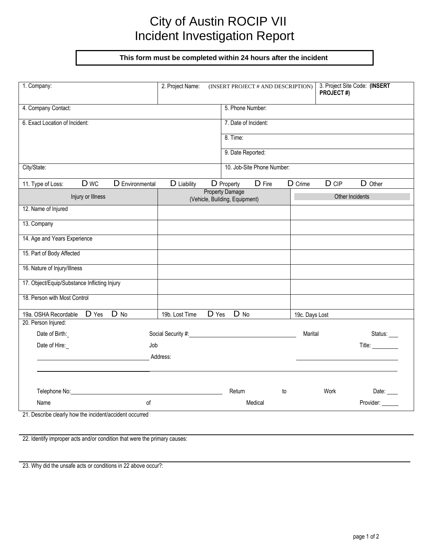# City of Austin ROCIP VII Incident Investigation Report

**This form must be completed within 24 hours after the incident**

| 1. Company:                                             | 2. Project Name:   | (INSERT PROJECT # AND DESCRIPTION)   |                            |                | PROJECT#) | 3. Project Site Code: (INSERT |
|---------------------------------------------------------|--------------------|--------------------------------------|----------------------------|----------------|-----------|-------------------------------|
| 4. Company Contact:                                     |                    | 5. Phone Number:                     |                            |                |           |                               |
| 6. Exact Location of Incident:                          |                    | 7. Date of Incident:                 |                            |                |           |                               |
|                                                         |                    | 8. Time:                             |                            |                |           |                               |
|                                                         |                    | 9. Date Reported:                    |                            |                |           |                               |
| City/State:                                             |                    |                                      | 10. Job-Site Phone Number: |                |           |                               |
|                                                         |                    |                                      |                            |                |           |                               |
| D wc<br>D Environmental<br>11. Type of Loss:            | D Liability        | D Property<br><b>Property Damage</b> | D Fire                     | D Crime        | $D$ $CIP$ | D Other                       |
| Injury or Illness                                       |                    | (Vehicle, Building, Equipment)       |                            |                |           | Other Incidents               |
| 12. Name of Injured                                     |                    |                                      |                            |                |           |                               |
| 13. Company                                             |                    |                                      |                            |                |           |                               |
| 14. Age and Years Experience                            |                    |                                      |                            |                |           |                               |
| 15. Part of Body Affected                               |                    |                                      |                            |                |           |                               |
| 16. Nature of Injury/Illness                            |                    |                                      |                            |                |           |                               |
| 17. Object/Equip/Substance Inflicting Injury            |                    |                                      |                            |                |           |                               |
| 18. Person with Most Control                            |                    |                                      |                            |                |           |                               |
| D No<br>D Yes<br>19a. OSHA Recordable                   | 19b. Lost Time     | D No<br>D Yes                        |                            | 19c. Days Lost |           |                               |
| 20. Person Injured:                                     |                    |                                      |                            |                |           |                               |
| Date of Birth:                                          | Social Security #: |                                      |                            | Marital        |           | Status:                       |
| Date of Hire:<br>Job                                    |                    |                                      |                            |                |           | Title: _________              |
|                                                         | Address:           |                                      |                            |                |           |                               |
|                                                         |                    |                                      |                            |                |           |                               |
| Telephone No:                                           |                    | Return                               | to                         |                | Work      | Date:                         |
| of<br>Name                                              |                    |                                      | Medical                    |                |           | Provider:                     |
| 21. Describe clearly how the incident/accident occurred |                    |                                      |                            |                |           |                               |

22. Identify improper acts and/or condition that were the primary causes:

23. Why did the unsafe acts or conditions in 22 above occur?: